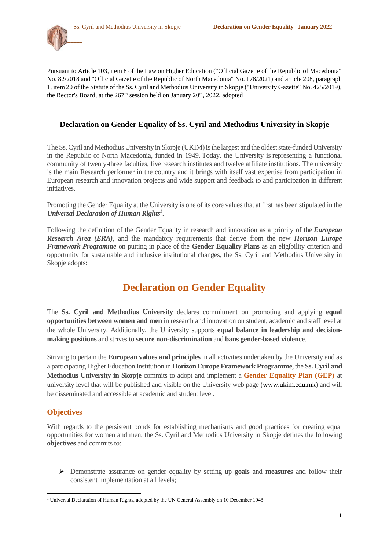**\_\_\_\_\_\_\_\_\_\_\_\_**



## **Declaration on Gender Equality of Ss. Cyril and Methodius University in Skopje**

The Ss. Cyril and Methodius University in Skopje (UKIM) is the largest and the oldest state-funded University in the Republic of North Macedonia, funded in 1949. Today, the University is representing a functional community of twenty-three faculties, five research institutes and twelve affiliate institutions. The university is the main Research performer in the country and it brings with itself vast expertise from participation in European research and innovation projects and wide support and feedback to and participation in different initiatives.

Promoting the Gender Equality at the University is one of its core values that at first has been stipulated in the *Universal Declaration of Human Rights<sup>1</sup>* .

Following the definition of the Gender Equality in research and innovation as a priority of the *[European](https://ec.europa.eu/info/research-and-innovation/strategy/strategy-2020-2024/our-digital-future/era_en)  [Research Area \(ERA\)](https://ec.europa.eu/info/research-and-innovation/strategy/strategy-2020-2024/our-digital-future/era_en)*, and the mandatory requirements that derive from the new *Horizon Europe Framework Programme* on putting in place of the **Gender Equality Plans** as an eligibility criterion and opportunity for sustainable and inclusive institutional changes, the Ss. Cyril and Methodius University in Skopje adopts:

# **Declaration on Gender Equality**

The **Ss. Cyril and Methodius University** declares commitment on promoting and applying **equal opportunities between women and men** in research and innovation on student, academic and staff level at the whole University. Additionally, the University supports **equal balance in leadership and decisionmaking positions** and strives to **secure non-discrimination** and **bans gender-based violence**.

Striving to pertain the **European values and principles** in all activities undertaken by the University and as a participating Higher Education Institution in **Horizon Europe Framework Programme**, the **Ss. Cyril and Methodius University in Skopje** commits to adopt and implement a **Gender Equality Plan (GEP)** at university level that will be published and visible on the University web page (www.ukim.edu.mk) and will be disseminated and accessible at academic and student level.

### **Objectives**

With regards to the persistent bonds for establishing mechanisms and good practices for creating equal opportunities for women and men, the Ss. Cyril and Methodius University in Skopje defines the following **objectives** and commits to:

 Demonstrate assurance on gender equality by setting up **goals** and **measures** and follow their consistent implementation at all levels;

**<sup>.</sup>** <sup>1</sup> Universal Declaration of Human Rights, adopted by the UN General Assembly on 10 December 1948